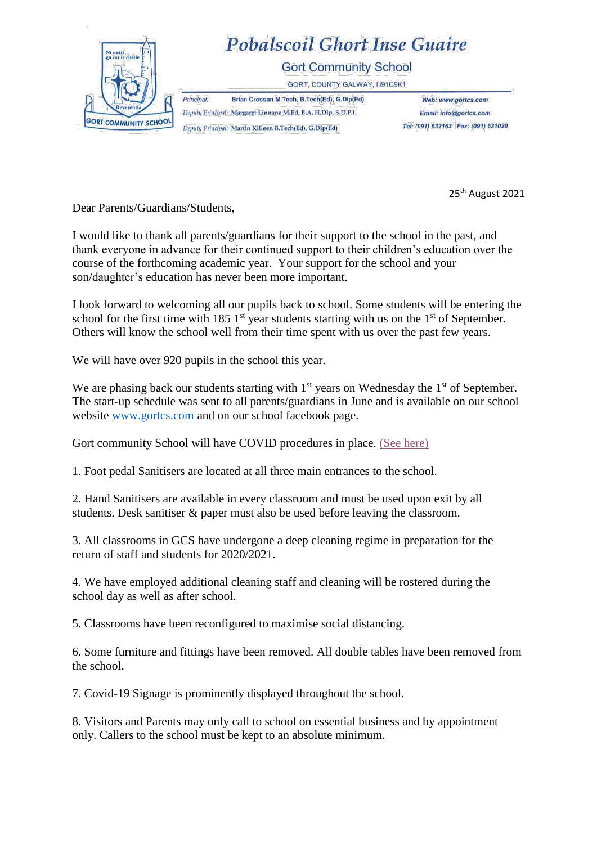## **Pobalscoil Ghort Inse Guaire**



**Gort Community School** 

GORT, COUNTY GALWAY, H91C9K1

Principal: Brian Crossan M.Tech, B.Tech(Ed), G.Dip(Ed) Deputy Principal: Margaret Linnane M.Ed, B.A, H.Dip, S.D.P.I.

Deputy Principal: Martin Killeen B.Tech(Ed), G.Dip(Ed)

Web: www.gortcs.com Email: info@gortcs.com Tel: (091) 632163 Fax: (091) 631020

25<sup>th</sup> August 2021

Dear Parents/Guardians/Students,

I would like to thank all parents/guardians for their support to the school in the past, and thank everyone in advance for their continued support to their children's education over the course of the forthcoming academic year. Your support for the school and your son/daughter's education has never been more important.

I look forward to welcoming all our pupils back to school. Some students will be entering the school for the first time with 185  $1<sup>st</sup>$  year students starting with us on the  $1<sup>st</sup>$  of September. Others will know the school well from their time spent with us over the past few years.

We will have over 920 pupils in the school this year.

We are phasing back our students starting with 1<sup>st</sup> years on Wednesday the 1<sup>st</sup> of September. The start-up schedule was sent to all parents/guardians in June and is available on our school website [www.gortcs.com](http://www.gortcs.com/) and on our school facebook page.

Gort community School will have COVID procedures in place. [\(See here\)](https://gortcs.com/2021/08/20/return-to-school-2021-info/)

1. Foot pedal Sanitisers are located at all three main entrances to the school.

2. Hand Sanitisers are available in every classroom and must be used upon exit by all students. Desk sanitiser & paper must also be used before leaving the classroom.

3. All classrooms in GCS have undergone a deep cleaning regime in preparation for the return of staff and students for 2020/2021.

4. We have employed additional cleaning staff and cleaning will be rostered during the school day as well as after school.

5. Classrooms have been reconfigured to maximise social distancing.

6. Some furniture and fittings have been removed. All double tables have been removed from the school.

7. Covid-19 Signage is prominently displayed throughout the school.

8. Visitors and Parents may only call to school on essential business and by appointment only. Callers to the school must be kept to an absolute minimum.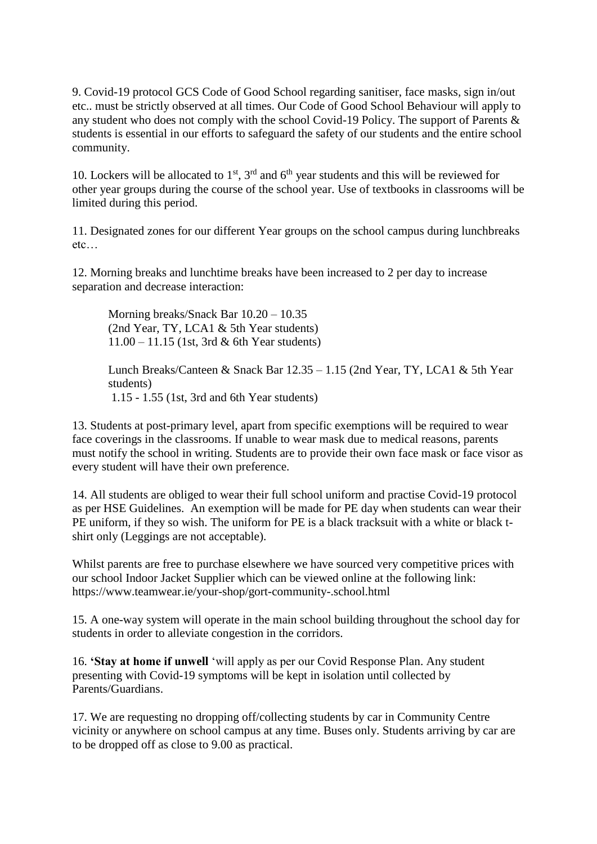9. Covid-19 protocol GCS Code of Good School regarding sanitiser, face masks, sign in/out etc.. must be strictly observed at all times. Our Code of Good School Behaviour will apply to any student who does not comply with the school Covid-19 Policy. The support of Parents & students is essential in our efforts to safeguard the safety of our students and the entire school community.

10. Lockers will be allocated to  $1<sup>st</sup>$ ,  $3<sup>rd</sup>$  and  $6<sup>th</sup>$  year students and this will be reviewed for other year groups during the course of the school year. Use of textbooks in classrooms will be limited during this period.

11. Designated zones for our different Year groups on the school campus during lunchbreaks etc…

12. Morning breaks and lunchtime breaks have been increased to 2 per day to increase separation and decrease interaction:

Morning breaks/Snack Bar 10.20 – 10.35 (2nd Year, TY, LCA1 & 5th Year students) 11.00 – 11.15 (1st, 3rd & 6th Year students)

Lunch Breaks/Canteen & Snack Bar 12.35 – 1.15 (2nd Year, TY, LCA1 & 5th Year students) 1.15 - 1.55 (1st, 3rd and 6th Year students)

13. Students at post-primary level, apart from specific exemptions will be required to wear face coverings in the classrooms. If unable to wear mask due to medical reasons, parents must notify the school in writing. Students are to provide their own face mask or face visor as every student will have their own preference.

14. All students are obliged to wear their full school uniform and practise Covid-19 protocol as per HSE Guidelines. An exemption will be made for PE day when students can wear their PE uniform, if they so wish. The uniform for PE is a black tracksuit with a white or black tshirt only (Leggings are not acceptable).

Whilst parents are free to purchase elsewhere we have sourced very competitive prices with our school Indoor Jacket Supplier which can be viewed online at the following link: https://www.teamwear.ie/your-shop/gort-community-.school.html

15. A one-way system will operate in the main school building throughout the school day for students in order to alleviate congestion in the corridors.

16. **'Stay at home if unwell** 'will apply as per our Covid Response Plan. Any student presenting with Covid-19 symptoms will be kept in isolation until collected by Parents/Guardians.

17. We are requesting no dropping off/collecting students by car in Community Centre vicinity or anywhere on school campus at any time. Buses only. Students arriving by car are to be dropped off as close to 9.00 as practical.